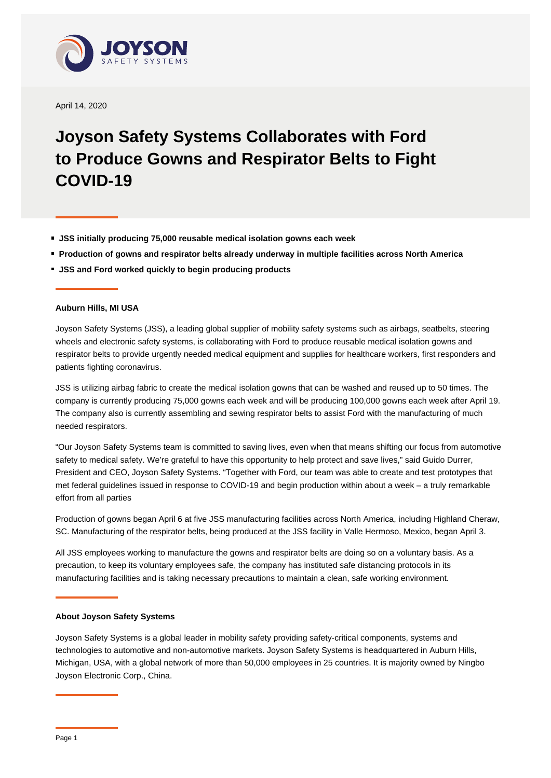

April 14, 2020

## **Joyson Safety Systems Collaborates with Ford to Produce Gowns and Respirator Belts to Fight COVID-19**

- **JSS initially producing 75,000 reusable medical isolation gowns each week**
- **Production of gowns and respirator belts already underway in multiple facilities across North America**
- **JSS and Ford worked quickly to begin producing products**

## **Auburn Hills, MI USA**

Joyson Safety Systems (JSS), a leading global supplier of mobility safety systems such as airbags, seatbelts, steering wheels and electronic safety systems, is collaborating with Ford to produce reusable medical isolation gowns and respirator belts to provide urgently needed medical equipment and supplies for healthcare workers, first responders and patients fighting coronavirus.

JSS is utilizing airbag fabric to create the medical isolation gowns that can be washed and reused up to 50 times. The company is currently producing 75,000 gowns each week and will be producing 100,000 gowns each week after April 19. The company also is currently assembling and sewing respirator belts to assist Ford with the manufacturing of much needed respirators.

"Our Joyson Safety Systems team is committed to saving lives, even when that means shifting our focus from automotive safety to medical safety. We're grateful to have this opportunity to help protect and save lives," said Guido Durrer, President and CEO, Joyson Safety Systems. "Together with Ford, our team was able to create and test prototypes that met federal guidelines issued in response to COVID-19 and begin production within about a week – a truly remarkable effort from all parties

Production of gowns began April 6 at five JSS manufacturing facilities across North America, including Highland Cheraw, SC. Manufacturing of the respirator belts, being produced at the JSS facility in Valle Hermoso, Mexico, began April 3.

All JSS employees working to manufacture the gowns and respirator belts are doing so on a voluntary basis. As a precaution, to keep its voluntary employees safe, the company has instituted safe distancing protocols in its manufacturing facilities and is taking necessary precautions to maintain a clean, safe working environment.

## **About Joyson Safety Systems**

Joyson Safety Systems is a global leader in mobility safety providing safety-critical components, systems and technologies to automotive and non-automotive markets. Joyson Safety Systems is headquartered in Auburn Hills, Michigan, USA, with a global network of more than 50,000 employees in 25 countries. It is majority owned by Ningbo Joyson Electronic Corp., China.